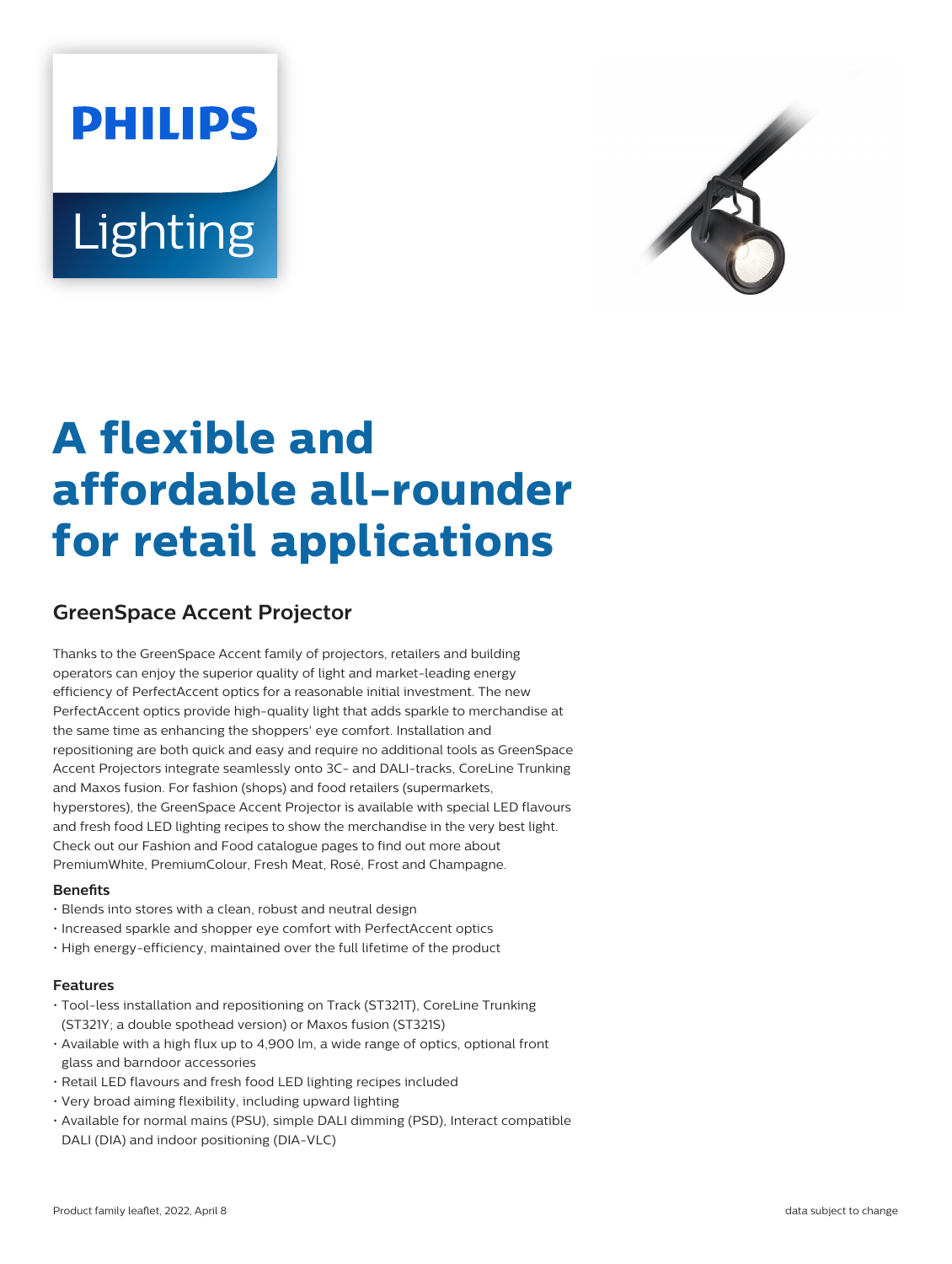# **PHILIPS** Lighting



# **A flexible and affordable all-rounder for retail applications**

## **GreenSpace Accent Projector**

Thanks to the GreenSpace Accent family of projectors, retailers and building operators can enjoy the superior quality of light and market-leading energy efficiency of PerfectAccent optics for a reasonable initial investment. The new PerfectAccent optics provide high-quality light that adds sparkle to merchandise at the same time as enhancing the shoppers' eye comfort. Installation and repositioning are both quick and easy and require no additional tools as GreenSpace Accent Projectors integrate seamlessly onto 3C- and DALI-tracks, CoreLine Trunking and Maxos fusion. For fashion (shops) and food retailers (supermarkets, hyperstores), the GreenSpace Accent Projector is available with special LED flavours and fresh food LED lighting recipes to show the merchandise in the very best light. Check out our Fashion and Food catalogue pages to find out more about PremiumWhite, PremiumColour, Fresh Meat, Rosé, Frost and Champagne.

#### **Benets**

- Blends into stores with a clean, robust and neutral design
- Increased sparkle and shopper eye comfort with PerfectAccent optics
- High energy-efficiency, maintained over the full lifetime of the product

#### **Features**

- Tool-less installation and repositioning on Track (ST321T), CoreLine Trunking (ST321Y; a double spothead version) or Maxos fusion (ST321S)
- Available with a high flux up to 4,900 lm, a wide range of optics, optional front glass and barndoor accessories
- Retail LED flavours and fresh food LED lighting recipes included
- Very broad aiming flexibility, including upward lighting
- Available for normal mains (PSU), simple DALI dimming (PSD), Interact compatible DALI (DIA) and indoor positioning (DIA-VLC)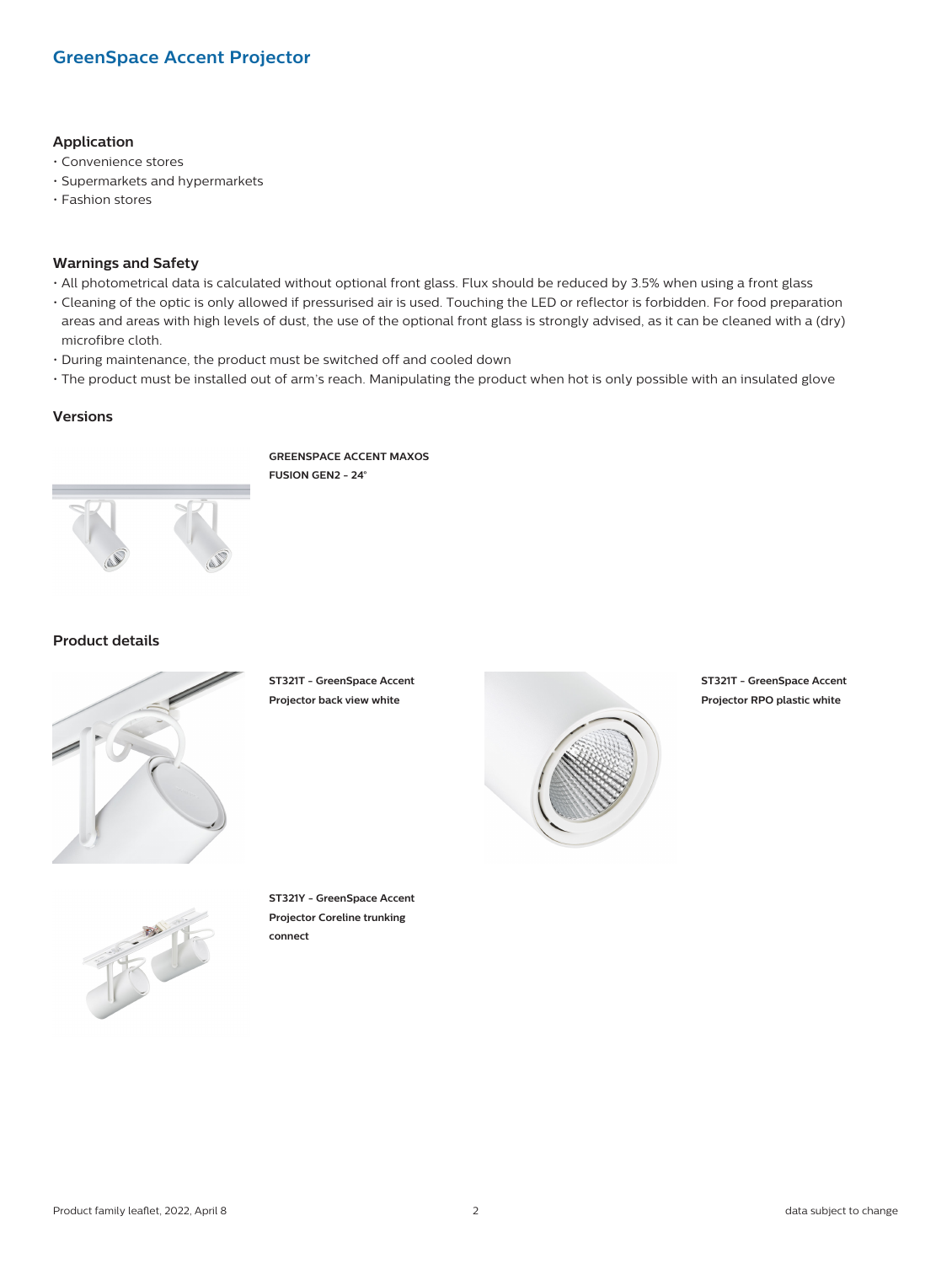#### **Application**

- Convenience stores
- Supermarkets and hypermarkets
- Fashion stores

#### **Warnings and Safety**

- All photometrical data is calculated without optional front glass. Flux should be reduced by 3.5% when using a front glass
- Cleaning of the optic is only allowed if pressurised air is used. Touching the LED or reflector is forbidden. For food preparation areas and areas with high levels of dust, the use of the optional front glass is strongly advised, as it can be cleaned with a (dry) microfibre cloth.
- During maintenance, the product must be switched off and cooled down
- The product must be installed out of arm's reach. Manipulating the product when hot is only possible with an insulated glove

#### **Versions**

**GREENSPACE ACCENT MAXOS FUSION GEN2 - 24°**



#### **Product details**



**ST321T - GreenSpace Accent Projector back view white**



**ST321T - GreenSpace Accent Projector RPO plastic white**



**ST321Y - GreenSpace Accent Projector Coreline trunking connect**